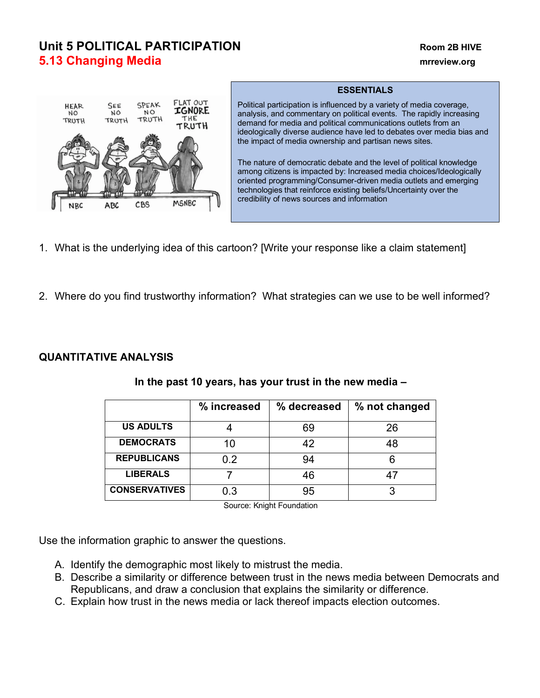# **Unit 5 POLITICAL PARTICIPATION Room 2B HIVE 5.13 Changing Media manufacture of the contract of the contract of the contract of the contract of the contract of the contract of the contract of the contract of the contract of the contract of the contract of the cont**



### **ESSENTIALS**

Political participation is influenced by a variety of media coverage, analysis, and commentary on political events. The rapidly increasing demand for media and political communications outlets from an ideologically diverse audience have led to debates over media bias and the impact of media ownership and partisan news sites.

The nature of democratic debate and the level of political knowledge among citizens is impacted by: Increased media choices/Ideologically oriented programming/Consumer-driven media outlets and emerging technologies that reinforce existing beliefs/Uncertainty over the credibility of news sources and information

- 1. What is the underlying idea of this cartoon? [Write your response like a claim statement]
- 2. Where do you find trustworthy information? What strategies can we use to be well informed?

## **QUANTITATIVE ANALYSIS**

|                      | % increased | % decreased | % not changed |
|----------------------|-------------|-------------|---------------|
| <b>US ADULTS</b>     |             | 69          | 26            |
| <b>DEMOCRATS</b>     | 10          | 42          | 48            |
| <b>REPUBLICANS</b>   | 0.2         | 94          |               |
| <b>LIBERALS</b>      |             | 46          |               |
| <b>CONSERVATIVES</b> | 0.3         | 95          |               |

## **In the past 10 years, has your trust in the new media –**

Source: Knight Foundation

Use the information graphic to answer the questions.

- A. Identify the demographic most likely to mistrust the media.
- B. Describe a similarity or difference between trust in the news media between Democrats and Republicans, and draw a conclusion that explains the similarity or difference.
- C. Explain how trust in the news media or lack thereof impacts election outcomes.